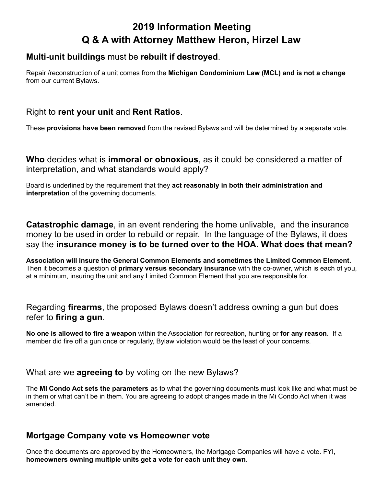# **2019 Information Meeting Q & A with Attorney Matthew Heron, Hirzel Law**

## **Multi-unit buildings** must be **rebuilt if destroyed**.

Repair /reconstruction of a unit comes from the **Michigan Condominium Law (MCL) and is not a change** from our current Bylaws.

# Right to **rent your unit** and **Rent Ratios**.

These **provisions have been removed** from the revised Bylaws and will be determined by a separate vote.

**Who** decides what is **immoral or obnoxious**, as it could be considered a matter of interpretation, and what standards would apply?

Board is underlined by the requirement that they **act reasonably in both their administration and interpretation** of the governing documents.

**Catastrophic damage**, in an event rendering the home unlivable, and the insurance money to be used in order to rebuild or repair. In the language of the Bylaws, it does say the **insurance money is to be turned over to the HOA. What does that mean?**

**Association will insure the General Common Elements and sometimes the Limited Common Element.** Then it becomes a question of **primary versus secondary insurance** with the co-owner, which is each of you, at a minimum, insuring the unit and any Limited Common Element that you are responsible for.

Regarding **firearms**, the proposed Bylaws doesn't address owning a gun but does refer to **firing a gun**.

**No one is allowed to fire a weapon** within the Association for recreation, hunting or **for any reason**. If a member did fire off a gun once or regularly, Bylaw violation would be the least of your concerns.

#### What are we **agreeing to** by voting on the new Bylaws?

The **MI Condo Act sets the parameters** as to what the governing documents must look like and what must be in them or what can't be in them. You are agreeing to adopt changes made in the Mi Condo Act when it was amended.

## **Mortgage Company vote vs Homeowner vote**

Once the documents are approved by the Homeowners, the Mortgage Companies will have a vote. FYI, **homeowners owning multiple units get a vote for each unit they own**.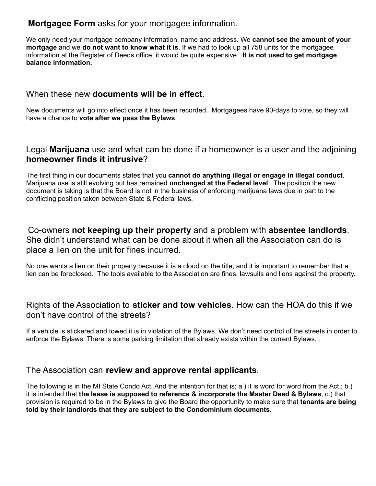# **Mortgagee Form** asks for your mortgagee information.

We only need your mortgage company information, name and address. We **cannot see the amount of your mortgage** and we **do not want to know what it is**. If we had to look up all 758 units for the mortgagee information at the Register of Deeds office, it would be quite expensive. **It is not used to get mortgage balance information.**

# When these new **documents will be in effect**.

New documents will go into effect once it has been recorded. Mortgagees have 90-days to vote, so they will have a chance to **vote after we pass the Bylaws**.

## Legal **Marijuana** use and what can be done if a homeowner is a user and the adjoining **homeowner finds it intrusive**?

The first thing in our documents states that you **cannot do anything illegal or engage in illegal conduct**. Marijuana use is still evolving but has remained **unchanged at the Federal level**. The position the new document is taking is that the Board is not in the business of enforcing marijuana laws due in part to the conflicting position taken between State & Federal laws.

Co-owners **not keeping up their property** and a problem with **absentee landlords**. She didn't understand what can be done about it when all the Association can do is place a lien on the unit for fines incurred.

No one wants a lien on their property because it is a cloud on the title, and it is important to remember that a lien can be foreclosed. The tools available to the Association are fines, lawsuits and liens against the property.

# Rights of the Association to **sticker and tow vehicles**. How can the HOA do this if we don't have control of the streets?

If a vehicle is stickered and towed it is in violation of the Bylaws. We don't need control of the streets in order to enforce the Bylaws. There is some parking limitation that already exists within the current Bylaws.

## The Association can **review and approve rental applicants**.

The following is in the MI State Condo Act. And the intention for that is; a.) it is word for word from the Act.; b.) it is intended that **the lease is supposed to reference & incorporate the Master Deed & Bylaws**, c.) that provision is required to be in the Bylaws to give the Board the opportunity to make sure that **tenants are being told by their landlords that they are subject to the Condominium documents**.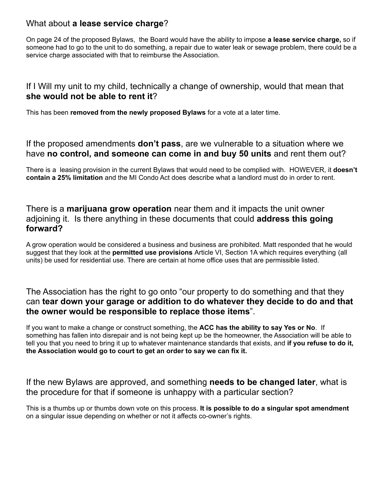# What about **a lease service charge**?

On page 24 of the proposed Bylaws, the Board would have the ability to impose **a lease service charge,** so if someone had to go to the unit to do something, a repair due to water leak or sewage problem, there could be a service charge associated with that to reimburse the Association.

## If I Will my unit to my child, technically a change of ownership, would that mean that **she would not be able to rent it**?

This has been **removed from the newly proposed Bylaws** for a vote at a later time.

If the proposed amendments **don't pass**, are we vulnerable to a situation where we have **no control, and someone can come in and buy 50 units** and rent them out?

There is a leasing provision in the current Bylaws that would need to be complied with. HOWEVER, it **doesn't contain a 25% limitation** and the MI Condo Act does describe what a landlord must do in order to rent.

## There is a **marijuana grow operation** near them and it impacts the unit owner adjoining it. Is there anything in these documents that could **address this going forward?**

A grow operation would be considered a business and business are prohibited. Matt responded that he would suggest that they look at the **permitted use provisions** Article VI, Section 1A which requires everything (all units) be used for residential use. There are certain at home office uses that are permissible listed.

## The Association has the right to go onto "our property to do something and that they can **tear down your garage or addition to do whatever they decide to do and that the owner would be responsible to replace those items**".

If you want to make a change or construct something, the **ACC has the ability to say Yes or No**. If something has fallen into disrepair and is not being kept up be the homeowner, the Association will be able to tell you that you need to bring it up to whatever maintenance standards that exists, and **if you refuse to do it, the Association would go to court to get an order to say we can fix it.**

#### If the new Bylaws are approved, and something **needs to be changed later**, what is the procedure for that if someone is unhappy with a particular section?

This is a thumbs up or thumbs down vote on this process. **It is possible to do a singular spot amendment** on a singular issue depending on whether or not it affects co-owner's rights.